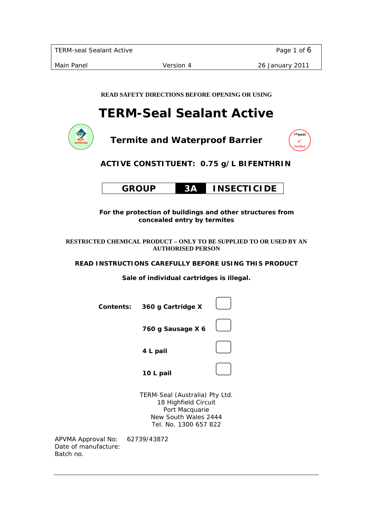**READ SAFETY DIRECTIONS BEFORE OPENING OR USING** 

# **TERM-Seal Sealant Active**



Batch no.

**Termite and Waterproof Barrier** 



# **ACTIVE CONSTITUENT: 0.75 g/L BIFENTHRIN**

|  | <b>GROUP</b> |  | <b>INSECTICIDE</b> |
|--|--------------|--|--------------------|
|--|--------------|--|--------------------|

 **For the protection of buildings and other structures from concealed entry by termites** 

**RESTRICTED CHEMICAL PRODUCT – ONLY TO BE SUPPLIED TO OR USED BY AN AUTHORISED PERSON** 

**READ INSTRUCTIONS CAREFULLY BEFORE USING THIS PRODUCT** 

**Sale of individual cartridges is illegal.** 

| <b>Contents:</b>                           | 360 g Cartridge X                                                                                                         |  |
|--------------------------------------------|---------------------------------------------------------------------------------------------------------------------------|--|
|                                            | 760 g Sausage X 6                                                                                                         |  |
|                                            | 4 L pail                                                                                                                  |  |
|                                            | 10 L pail                                                                                                                 |  |
|                                            | TERM-Seal (Australia) Pty Ltd.<br>18 Highfield Circuit<br>Port Macquarie<br>New South Wales 2444<br>Tel. No. 1300 657 822 |  |
| APVMA Approval No:<br>Date of manufacture: | 62739/43872                                                                                                               |  |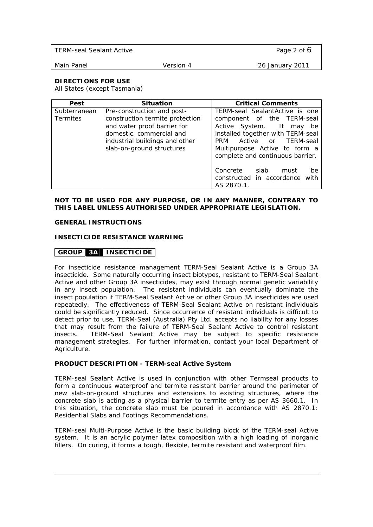| TERM-seal Sealant Active |           | Page 2 of 6     |
|--------------------------|-----------|-----------------|
| Main Panel               | Version 4 | 26 January 2011 |

# **DIRECTIONS FOR USE**

All States (except Tasmania)

| Pest                            | <b>Situation</b>                                                                                                                                                                        | <b>Critical Comments</b>                                                                                                                                                                                                         |
|---------------------------------|-----------------------------------------------------------------------------------------------------------------------------------------------------------------------------------------|----------------------------------------------------------------------------------------------------------------------------------------------------------------------------------------------------------------------------------|
| Subterranean<br><b>Termites</b> | Pre-construction and post-<br>construction termite protection<br>and water proof barrier for<br>domestic, commercial and<br>industrial buildings and other<br>slab-on-ground structures | TERM-seal SealantActive is one<br>component of the TERM-seal<br>Active System. It may<br>be<br>installed together with TERM-seal<br>PRM Active or TERM-seal<br>Multipurpose Active to form a<br>complete and continuous barrier. |
|                                 |                                                                                                                                                                                         | Concrete slab<br>must<br>be<br>constructed in accordance with<br>AS 2870.1.                                                                                                                                                      |

#### **NOT TO BE USED FOR ANY PURPOSE, OR IN ANY MANNER, CONTRARY TO THIS LABEL UNLESS AUTHORISED UNDER APPROPRIATE LEGISLATION.**

#### **GENERAL INSTRUCTIONS**

#### **INSECTICIDE RESISTANCE WARNING**

# **GROUP 3A INSECTICIDE**

For insecticide resistance management TERM-Seal Sealant Active is a Group 3A insecticide. Some naturally occurring insect biotypes, resistant to TERM-Seal Sealant Active and other Group 3A insecticides, may exist through normal genetic variability in any insect population. The resistant individuals can eventually dominate the insect population if TERM-Seal Sealant Active or other Group 3A insecticides are used repeatedly. The effectiveness of TERM-Seal Sealant Active on resistant individuals could be significantly reduced. Since occurrence of resistant individuals is difficult to detect prior to use, TERM-Seal (Australia) Pty Ltd. accepts no liability for any losses that may result from the failure of TERM-Seal Sealant Active to control resistant insects. TERM-Seal Sealant Active may be subject to specific resistance management strategies. For further information, contact your local Department of Agriculture.

# **PRODUCT DESCRIPTION - TERM-seal Active System**

TERM-seal Sealant Active is used in conjunction with other Termseal products to form a continuous waterproof and termite resistant barrier around the perimeter of new slab-on-ground structures and extensions to existing structures, where the concrete slab is acting as a physical barrier to termite entry as per AS 3660.1. In this situation, the concrete slab must be poured in accordance with AS 2870.1: Residential Slabs and Footings Recommendations.

TERM-seal Multi-Purpose Active is the basic building block of the TERM-seal Active system. It is an acrylic polymer latex composition with a high loading of inorganic fillers. On curing, it forms a tough, flexible, termite resistant and waterproof film.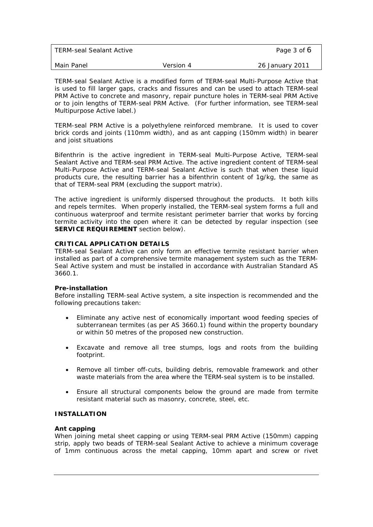| TERM-seal Sealant Active |           | Page 3 of 6     |
|--------------------------|-----------|-----------------|
| Main Panel               | Version 4 | 26 January 2011 |

TERM-seal Sealant Active is a modified form of TERM-seal Multi-Purpose Active that is used to fill larger gaps, cracks and fissures and can be used to attach TERM-seal PRM Active to concrete and masonry, repair puncture holes in TERM-seal PRM Active or to join lengths of TERM-seal PRM Active. (For further information, see TERM-seal Multipurpose Active label.)

TERM-seal PRM Active is a polyethylene reinforced membrane. It is used to cover brick cords and joints (110mm width), and as ant capping (150mm width) in bearer and joist situations

Bifenthrin is the active ingredient in TERM-seal Multi-Purpose Active, TERM-seal Sealant Active and TERM-seal PRM Active. The active ingredient content of TERM-seal Multi-Purpose Active and TERM-seal Sealant Active is such that when these liquid products cure, the resulting barrier has a bifenthrin content of 1g/kg, the same as that of TERM-seal PRM (excluding the support matrix).

The active ingredient is uniformly dispersed throughout the products. It both kills and repels termites. When properly installed, the TERM-seal system forms a full and continuous waterproof and termite resistant perimeter barrier that works by forcing termite activity into the open where it can be detected by regular inspection (see **SERVICE REQUIREMENT** section below).

# **CRITICAL APPLICATION DETAILS**

TERM-seal Sealant Active can only form an effective termite resistant barrier when installed as part of a comprehensive termite management system such as the TERM-Seal Active system and must be installed in accordance with Australian Standard AS 3660.1.

# **Pre-installation**

Before installing TERM-seal Active system, a site inspection is recommended and the following precautions taken:

- Eliminate any active nest of economically important wood feeding species of subterranean termites (as per AS 3660.1) found within the property boundary or within 50 metres of the proposed new construction.
- Excavate and remove all tree stumps, logs and roots from the building footprint.
- Remove all timber off-cuts, building debris, removable framework and other waste materials from the area where the TERM-seal system is to be installed.
- Ensure all structural components below the ground are made from termite resistant material such as masonry, concrete, steel, etc.

# **INSTALLATION**

# **Ant capping**

When joining metal sheet capping or using TERM-seal PRM Active (150mm) capping strip, apply two beads of TERM-seal Sealant Active to achieve a minimum coverage of 1mm continuous across the metal capping, 10mm apart and screw or rivet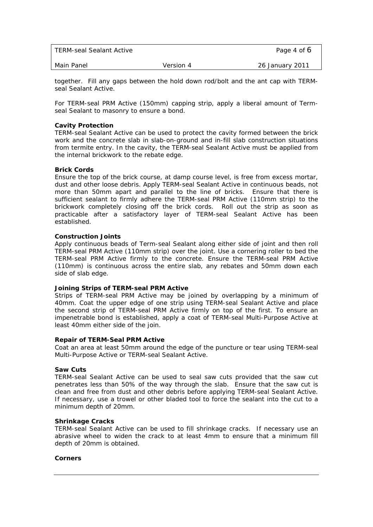| TERM-seal Sealant Active |           | Page 4 of 6     |
|--------------------------|-----------|-----------------|
| Main Panel               | Version 4 | 26 January 2011 |

together. Fill any gaps between the hold down rod/bolt and the ant cap with TERMseal Sealant Active.

For TERM-seal PRM Active (150mm) capping strip, apply a liberal amount of Termseal Sealant to masonry to ensure a bond.

#### **Cavity Protection**

TERM-seal Sealant Active can be used to protect the cavity formed between the brick work and the concrete slab in slab-on-ground and in-fill slab construction situations from termite entry. In the cavity, the TERM-seal Sealant Active must be applied from the internal brickwork to the rebate edge.

#### **Brick Cords**

Ensure the top of the brick course, at damp course level, is free from excess mortar, dust and other loose debris. Apply TERM-seal Sealant Active in continuous beads, not more than 50mm apart and parallel to the line of bricks. Ensure that there is sufficient sealant to firmly adhere the TERM-seal PRM Active (110mm strip) to the brickwork completely closing off the brick cords. Roll out the strip as soon as practicable after a satisfactory layer of TERM-seal Sealant Active has been established.

#### **Construction Joints**

Apply continuous beads of Term-seal Sealant along either side of joint and then roll TERM-seal PRM Active (110mm strip) over the joint. Use a cornering roller to bed the TERM-seal PRM Active firmly to the concrete. Ensure the TERM-seal PRM Active (110mm) is continuous across the entire slab, any rebates and 50mm down each side of slab edge.

#### **Joining Strips of TERM-seal PRM Active**

Strips of TERM-seal PRM Active may be joined by overlapping by a minimum of 40mm. Coat the upper edge of one strip using TERM-seal Sealant Active and place the second strip of TERM-seal PRM Active firmly on top of the first. To ensure an impenetrable bond is established, apply a coat of TERM-seal Multi-Purpose Active at least 40mm either side of the join.

#### **Repair of TERM-Seal PRM Active**

Coat an area at least 50mm around the edge of the puncture or tear using TERM-seal Multi-Purpose Active or TERM-seal Sealant Active.

#### **Saw Cuts**

TERM-seal Sealant Active can be used to seal saw cuts provided that the saw cut penetrates less than 50% of the way through the slab. Ensure that the saw cut is clean and free from dust and other debris before applying TERM-seal Sealant Active. If necessary, use a trowel or other bladed tool to force the sealant into the cut to a minimum depth of 20mm.

#### **Shrinkage Cracks**

TERM-seal Sealant Active can be used to fill shrinkage cracks. If necessary use an abrasive wheel to widen the crack to at least 4mm to ensure that a minimum fill depth of 20mm is obtained.

#### **Corners**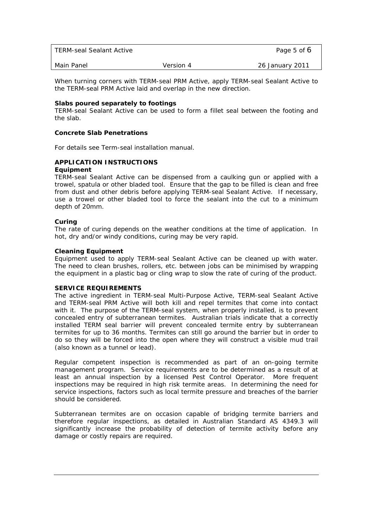| TERM-seal Sealant Active |           | Page 5 of 6     |
|--------------------------|-----------|-----------------|
| Main Panel               | Version 4 | 26 January 2011 |

When turning corners with TERM-seal PRM Active, apply TERM-seal Sealant Active to the TERM-seal PRM Active laid and overlap in the new direction.

#### **Slabs poured separately to footings**

TERM-seal Sealant Active can be used to form a fillet seal between the footing and the slab.

#### **Concrete Slab Penetrations**

For details see Term-seal installation manual.

#### **APPLICATION INSTRUCTIONS Equipment**

### TERM-seal Sealant Active can be dispensed from a caulking gun or applied with a trowel, spatula or other bladed tool. Ensure that the gap to be filled is clean and free from dust and other debris before applying TERM-seal Sealant Active. If necessary, use a trowel or other bladed tool to force the sealant into the cut to a minimum depth of 20mm.

#### **Curing**

The rate of curing depends on the weather conditions at the time of application. In hot, dry and/or windy conditions, curing may be very rapid.

#### **Cleaning Equipment**

Equipment used to apply TERM-seal Sealant Active can be cleaned up with water. The need to clean brushes, rollers, etc. between jobs can be minimised by wrapping the equipment in a plastic bag or cling wrap to slow the rate of curing of the product.

#### **SERVICE REQUIREMENTS**

The active ingredient in TERM-seal Multi-Purpose Active, TERM-seal Sealant Active and TERM-seal PRM Active will both kill and repel termites that come into contact with it. The purpose of the TERM-seal system, when properly installed, is to prevent concealed entry of subterranean termites. Australian trials indicate that a correctly installed TERM seal barrier will prevent concealed termite entry by subterranean termites for up to 36 months. Termites can still go around the barrier but in order to do so they will be forced into the open where they will construct a visible mud trail (also known as a tunnel or lead).

Regular competent inspection is recommended as part of an on-going termite management program. Service requirements are to be determined as a result of at least an annual inspection by a licensed Pest Control Operator. More frequent inspections may be required in high risk termite areas. In determining the need for service inspections, factors such as local termite pressure and breaches of the barrier should be considered.

Subterranean termites are on occasion capable of bridging termite barriers and therefore regular inspections, as detailed in Australian Standard AS 4349.3 will significantly increase the probability of detection of termite activity before any damage or costly repairs are required.